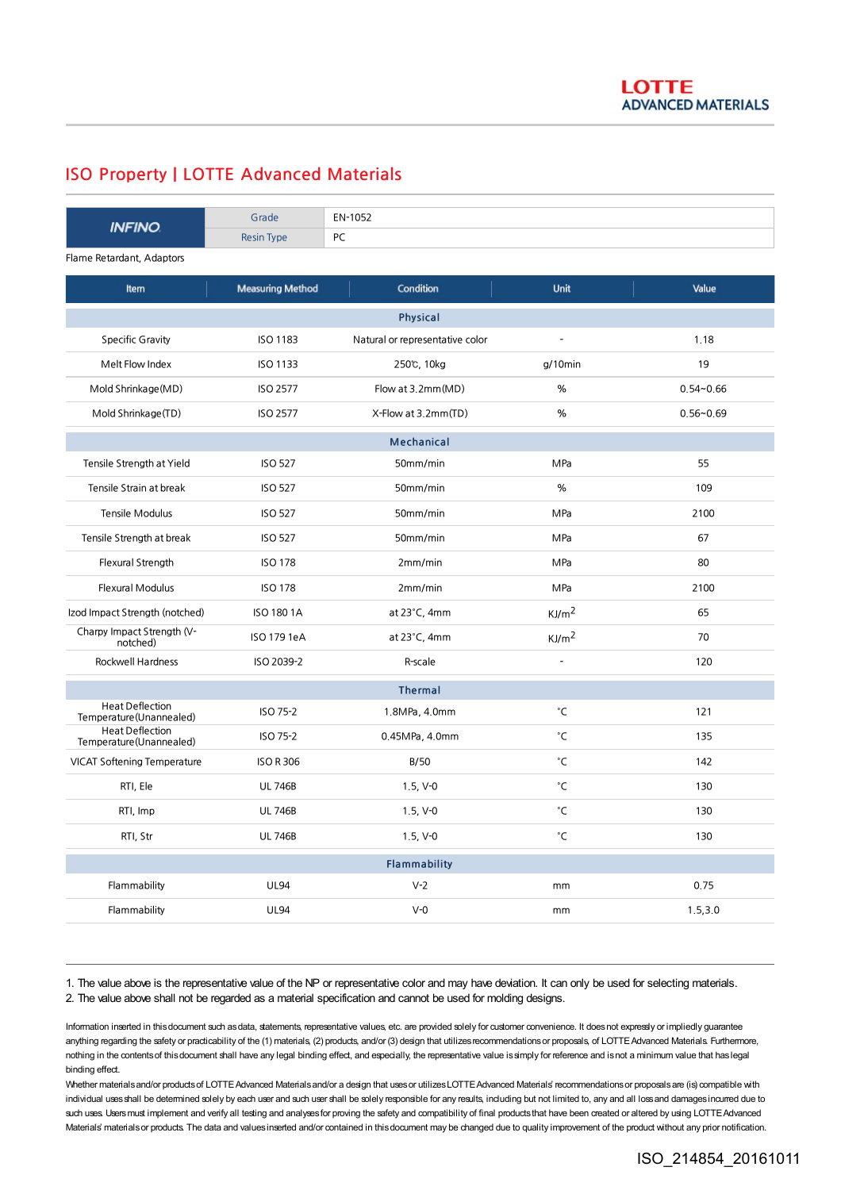## ISO Property | LOTTE Advanced Materials

| <b>INFINO</b>                                      | Grade                   | EN-1052                         |                   |               |
|----------------------------------------------------|-------------------------|---------------------------------|-------------------|---------------|
|                                                    | <b>Resin Type</b>       | PC                              |                   |               |
| Flame Retardant, Adaptors                          |                         |                                 |                   |               |
| Item                                               | <b>Measuring Method</b> | Condition                       | <b>Unit</b>       | Value         |
| <b>Physical</b>                                    |                         |                                 |                   |               |
| <b>Specific Gravity</b>                            | ISO 1183                | Natural or representative color | $\overline{a}$    | 1.18          |
| Melt Flow Index                                    | <b>ISO 1133</b>         | 250℃, 10kg                      | $g/10$ min        | 19            |
| Mold Shrinkage (MD)                                | <b>ISO 2577</b>         | Flow at 3.2mm(MD)               | %                 | $0.54 - 0.66$ |
| Mold Shrinkage(TD)                                 | <b>ISO 2577</b>         | X-Flow at 3.2mm(TD)             | %                 | $0.56 - 0.69$ |
| <b>Mechanical</b>                                  |                         |                                 |                   |               |
| Tensile Strength at Yield                          | <b>ISO 527</b>          | 50mm/min                        | MPa               | 55            |
| Tensile Strain at break                            | <b>ISO 527</b>          | 50mm/min                        | %                 | 109           |
| Tensile Modulus                                    | <b>ISO 527</b>          | 50mm/min                        | MPa               | 2100          |
| Tensile Strength at break                          | <b>ISO 527</b>          | 50mm/min                        | MPa               | 67            |
| Flexural Strength                                  | <b>ISO 178</b>          | 2mm/min                         | MPa               | 80            |
| Flexural Modulus                                   | <b>ISO 178</b>          | 2mm/min                         | MPa               | 2100          |
| Izod Impact Strength (notched)                     | <b>ISO 180 1A</b>       | at 23°C, 4mm                    | KJ/m <sup>2</sup> | 65            |
| Charpy Impact Strength (V-<br>notched)             | ISO 179 1eA             | at $23^{\circ}$ C, 4mm          | KJ/m <sup>2</sup> | 70            |
| <b>Rockwell Hardness</b>                           | ISO 2039-2              | R-scale                         |                   | 120           |
| <b>Thermal</b>                                     |                         |                                 |                   |               |
| <b>Heat Deflection</b><br>Temperature (Unannealed) | ISO 75-2                | 1.8MPa, 4.0mm                   | °C                | 121           |
| <b>Heat Deflection</b><br>Temperature(Unannealed)  | ISO 75-2                | 0.45MPa, 4.0mm                  | °C                | 135           |
| <b>VICAT Softening Temperature</b>                 | <b>ISO R 306</b>        | B/50                            | °C                | 142           |
| RTI, Ele                                           | <b>UL 746B</b>          | $1.5, V-0$                      | °C                | 130           |
| RTI, Imp                                           | <b>UL 746B</b>          | $1.5, V-0$                      | °C                | 130           |
| RTI, Str                                           | <b>UL 746B</b>          | $1.5, V-0$                      | °C                | 130           |
| <b>Flammability</b>                                |                         |                                 |                   |               |
| Flammability                                       | <b>UL94</b>             | $V-2$                           | mm                | 0.75          |
| Flammability                                       | <b>UL94</b>             | $V-0$                           | mm                | 1.5, 3.0      |

1. The value above is the representative value of the NP or representative color and may have deviation. It can only be used for selecting materials. 2. The value above shall not be regarded as a material specification and cannot be used for molding designs.

Information inserted in this document such as data, statements, representative values, etc. are provided solely for customer convenience. It does not expressly or impliedly guarantee anything regarding the safety or practicability of the (1) materials, (2) products, and/or (3) design that utilizes recommendations or proposals, of LOTTE Advanced Materials. Furthermore, nothing in the contentsof thisdocument shall have any legal binding effect, and especially, the representative value issimply for reference and isnot a minimum value that haslegal binding effect.

Whether materials and/or products of LOTTE Advanced Materials and/or a design that uses or utilizes LOTTE Advanced Materials' recommendations or proposals are (is) compatible with individual uses shall be determined solely by each user and such user shall be solely responsible for any results, including but not limited to, any and all loss and damages incurred due to such uses. Users must implement and verify all testing and analyses for proving the safety and compatibility of final products that have been created or altered by using LOTTE Advanced Materials' materials or products. The data and values inserted and/or contained in this document may be changed due to quality improvement of the product without any prior notification.